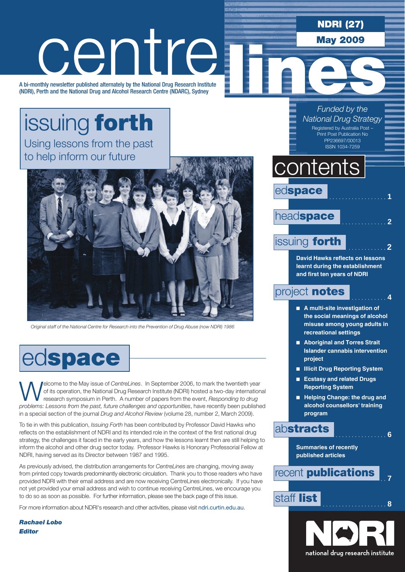NDRI (27)

May 2009

# centre

A bi-monthly newsletter published alternately by the National Drug Research Institute (NDRI), Perth and the National Drug and Alcohol Research Centre (NDARC), Sydney

### issuing forth Using lessons from the past to help inform our future



*Original staff of the National Centre for Research into the Prevention of Drug Abuse (now NDRI) 1986*

# edspace

Welcome to the May issue of *CentreLines*. In September 2006, to mark the twentieth year of its operation, the National Drug Research Institute (NDRI) hosted a two-day international research symposium in Perth. A number of papers from the event, *Responding to drug problems: Lessons from the past, future challenges and opportunities*, have recently been published in a special section of the journal *Drug and Alcohol Review* (volume 28, number 2, March 2009).

To tie in with this publication, *Issuing Forth* has been contributed by Professor David Hawks who reflects on the establishment of NDRI and its intended role in the context of the first national drug strategy, the challenges it faced in the early years, and how the lessons learnt then are still helping to inform the alcohol and other drug sector today. Professor Hawks is Honorary Professorial Fellow at NDRI, having served as its Director between 1987 and 1995.

As previously advised, the distribution arrangements for *CentreLines* are changing, moving away from printed copy towards predominantly electronic circulation. Thank you to those readers who have provided NDRI with their email address and are now receiving CentreLines electronically. If you have not yet provided your email address and wish to continue receiving CentreLines, we encourage you to do so as soon as possible. For further information, please see the back page of this issue.

For more information about NDRI's research and other activities, please visit ndri.curtin.edu.au.

*Rachael Lobo Editor*

*Funded by the National Drug Strategy*

Registered by Australia Post – Print Post Publication No PP236697/00013 ISSN 1034-7259

# contents

edspace head**space** 

### issuing **forth**

**David Hawks reflects on lessons learnt during the establishment and first ten years of NDRI**

### project **notes**

- A multi-site investigation of **the social meanings of alcohol misuse among young adults in recreational settings**
- Aboriginal and Torres Strait **Islander cannabis intervention project**
- n **Illicit Drug Reporting System**
- **Ecstasy and related Drugs Reporting System**
- **n** Helping Change: the drug and **alcohol counsellors' training program**

### **abstracts** . . . . . . . . . . 6

**Summaries of recently published articles**



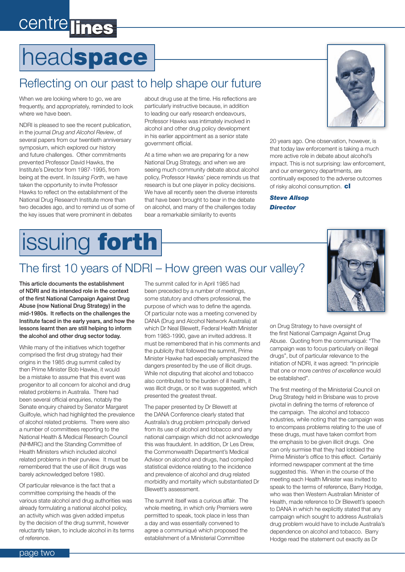## centre lines

# headspace

### Reflecting on our past to help shape our future

When we are looking where to go, we are frequently, and appropriately, reminded to look where we have been.

NDRI is pleased to see the recent publication, in the journal *Drug and Alcohol Review*, of several papers from our twentieth anniversary symposium, which explored our history and future challenges. Other commitments prevented Professor David Hawks, the Institute's Director from 1987-1995, from being at the event. In *Issuing Forth*, we have taken the opportunity to invite Professor Hawks to reflect on the establishment of the National Drug Research Institute more than two decades ago, and to remind us of some of the key issues that were prominent in debates

about drug use at the time. His reflections are particularly instructive because, in addition to leading our early research endeavours, Professor Hawks was intimately involved in alcohol and other drug policy development in his earlier appointment as a senior state government official.

At a time when we are preparing for a new National Drug Strategy, and when we are seeing much community debate about alcohol policy, Professor Hawks' piece reminds us that research is but one player in policy decisions. We have all recently seen the diverse interests that have been brought to bear in the debate on alcohol, and many of the challenges today bear a remarkable similarity to events



20 years ago. One observation, however, is that today law enforcement is taking a much more active role in debate about alcohol's impact. This is not surprising: law enforcement, and our emergency departments, are continually exposed to the adverse outcomes of risky alcohol consumption. cl

*Steve Allsop Director*

# issuing forth

### The first 10 years of NDRI – How green was our valley?

This article documents the establishment of NDRI and its intended role in the context of the first National Campaign Against Drug Abuse (now National Drug Strategy) in the mid-1980s. It reflects on the challenges the Institute faced in the early years, and how the lessons learnt then are still helping to inform the alcohol and other drug sector today.

While many of the initiatives which together comprised the first drug strategy had their origins in the 1985 drug summit called by then Prime Minister Bob Hawke, it would be a mistake to assume that this event was progenitor to all concern for alcohol and drug related problems in Australia. There had been several official enquiries, notably the Senate enquiry chaired by Senator Margaret Guilfoyle, which had highlighted the prevalence of alcohol related problems. There were also a number of committees reporting to the National Health & Medical Research Council (NHMRC) and the Standing Committee of Health Ministers which included alcohol related problems in their purview. It must be remembered that the use of illicit drugs was barely acknowledged before 1980.

Of particular relevance is the fact that a committee comprising the heads of the various state alcohol and drug authorities was already formulating a national alcohol policy, an activity which was given added impetus by the decision of the drug summit, however reluctantly taken, to include alcohol in its terms of reference.

The summit called for in April 1985 had been preceded by a number of meetings, some statutory and others professional, the purpose of which was to define the agenda. Of particular note was a meeting convened by DANA (Drug and Alcohol Network Australia) at which Dr Neal Blewett, Federal Health Minister from 1983-1990, gave an invited address. It must be remembered that in his comments and the publicity that followed the summit, Prime Minister Hawke had especially emphasized the dangers presented by the use of illicit drugs. While not disputing that alcohol and tobacco also contributed to the burden of ill health, it was illicit drugs, or so it was suggested, which presented the greatest threat.

The paper presented by Dr Blewett at the DANA Conference clearly stated that Australia's drug problem principally derived from its use of alcohol and tobacco and any national campaign which did not acknowledge this was fraudulent. In addition, Dr Les Drew, the Commonwealth Department's Medical Advisor on alcohol and drugs, had compiled statistical evidence relating to the incidence and prevalence of alcohol and drug related morbidity and mortality which substantiated Dr Blewett's assessment.

The summit itself was a curious affair. The whole meeting, in which only Premiers were permitted to speak, took place in less than a day and was essentially convened to agree a communiqué which proposed the establishment of a Ministerial Committee



on Drug Strategy to have oversight of the first National Campaign Against Drug Abuse. Quoting from the communiqué: "The campaign was to focus particularly on illegal drugs", but of particular relevance to the initiation of NDRI, it was agreed: "In principle that one or more *centres of excellence* would be established".

The first meeting of the Ministerial Council on Drug Strategy held in Brisbane was to prove pivotal in defining the terms of reference of the campaign. The alcohol and tobacco industries, while noting that the campaign was to encompass problems relating to the use of these drugs, must have taken comfort from the emphasis to be given illicit drugs. One can only surmise that they had lobbied the Prime Minister's office to this effect. Certainly informed newspaper comment at the time suggested this. When in the course of the meeting each Health Minister was invited to speak to the terms of reference, Barry Hodge, who was then Western Australian Minister of Health, made reference to Dr Blewett's speech to DANA in which he explicitly stated that any campaign which sought to address Australia's drug problem would have to include Australia's dependence on alcohol and tobacco. Barry Hodge read the statement out exactly as Dr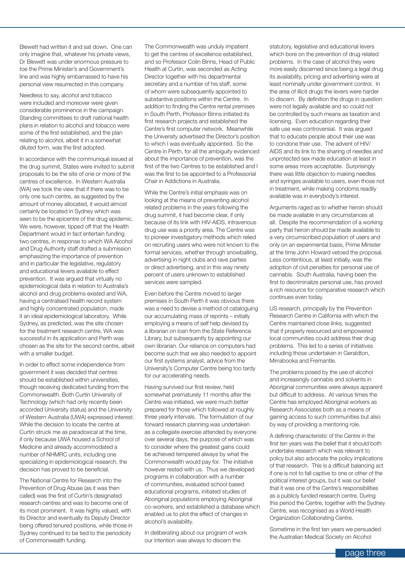Blewett had written it and sat down. One can only imagine that, whatever his private views, Dr Blewett was under enormous pressure to toe the Prime Minister's and Government's line and was highly embarrassed to have his personal view resurrected in this company.

Needless to say, alcohol and tobacco were included and moreover were given considerable prominence in the campaign. Standing committees to draft national health plans in relation to alcohol and tobacco were some of the first established, and the plan relating to alcohol, albeit it in a somewhat diluted form, was the first adopted.

In accordance with the communiqué issued at the drug summit, States were invited to submit proposals to be the site of one or more of the centres of excellence. In Western Australia (WA) we took the view that if there was to be only one such centre, as suggested by the amount of money allocated, it would almost certainly be located in Sydney which was seen to be the epicentre of the drug epidemic. We were, however, tipped off that the Health Department would in fact entertain funding two centres, in response to which WA Alcohol and Drug Authority staff drafted a submission emphasizing the importance of prevention and in particular the legislative, regulatory and educational levers available to effect prevention. It was argued that virtually no epidemiological data in relation to Australia's alcohol and drug problems existed and WA, having a centralised health record system and highly concentrated population, made it an ideal epidemiological laboratory. While Sydney, as predicted, was the site chosen for the treatment research centre, WA was successful in its application and Perth was chosen as the site for the second centre, albeit with a smaller budget.

In order to effect some independence from government it was decided that centres should be established within universities, though receiving dedicated funding from the Commonwealth. Both Curtin University of Technology (which had only recently been accorded University status) and the University of Western Australia (UWA) expressed interest. While the decision to locate the centre at Curtin struck me as paradoxical at the time, if only because UWA housed a School of Medicine and already accommodated a number of NHMRC units, including one specializing in epidemiological research, the decision has proved to be beneficial.

The National Centre for Research into the Prevention of Drug Abuse (as it was then called) was the first of Curtin's designated research centres and was to become one of its most prominent. It was highly valued, with its Director and eventually its Deputy Director being offered tenured positions, while those in Sydney continued to be tied to the periodicity of Commonwealth funding.

The Commonwealth was unduly impatient to get the centres of excellence established, and so Professor Colin Binns, Head of Public Health at Curtin, was seconded as Acting Director together with his departmental secretary and a number of his staff, some of whom were subsequently appointed to substantive positions within the Centre. In addition to finding the Centre rental premises in South Perth, Professor Binns initiated its first research projects and established the Centre's first computer network. Meanwhile the University advertised the Director's position to which I was eventually appointed. So the Centre in Perth, for all the ambiguity evidenced about the importance of prevention, was the first of the two Centres to be established and I was the first to be appointed to a Professorial Chair in Addictions in Australia.

While the Centre's initial emphasis was on looking at the means of preventing alcohol related problems in the years following the drug summit, it had become clear, if only because of its link with HIV-AIDS, intravenous drug use was a priority area. The Centre was to pioneer investigatory methods which relied on recruiting users who were not known to the formal services, whether through snowballing, advertising in night clubs and rave parties or direct advertising, and in this way ninety percent of users unknown to established services were sampled.

Even before the Centre moved to larger premises in South Perth it was obvious there was a need to devise a method of cataloguing our accumulating mass of reprints – initially employing a means of self help devised by a librarian on loan from the State Reference Library, but subsequently by appointing our own librarian. Our reliance on computers had become such that we also needed to appoint our first systems analyst, advice from the University's Computer Centre being too tardy for our accelerating needs.

Having survived our first review, held somewhat prematurely 11 months after the Centre was initiated, we were much better prepared for those which followed at roughly three yearly intervals. The formulation of our forward research planning was undertaken as a collegiate exercise attended by everyone over several days, the purpose of which was to consider where the greatest gains could be achieved tempered always by what the Commonwealth would pay for. The initiative however rested with us. Thus we developed programs in collaboration with a number of communities, evaluated school based educational programs, initiated studies of Aboriginal populations employing Aboriginal co-workers, and established a database which enabled us to plot the effect of changes in alcohol's availability.

In deliberating about our program of work our intention was always to discern the

statutory, legislative and educational levers which bore on the prevention of drug related problems. In the case of alcohol they were more easily discerned since being a legal drug its availability, pricing and advertising were at least nominally under government control. In the area of illicit drugs the levers were harder to discern. By definition the drugs in question were not legally available and so could not be controlled by such means as taxation and licensing. Even education regarding their safe use was controversial. It was argued that to educate people about their use was to condone their use. The advent of HIV/ AIDS and its link to the sharing of needles and unprotected sex made education at least in some areas more acceptable. Surprisingly there was little objection to making needles and syringes available to users, even those not in treatment, while making condoms readily available was in everybody's interest.

Arguments raged as to whether heroin should be made available in any circumstances at all. Despite the recommendation of a working party that heroin should be made available to a very circumscribed population of users and only on an experimental basis, Prime Minister at the time John Howard vetoed the proposal. Less contentious, at least initially, was the adoption of civil penalties for personal use of cannabis. South Australia, having been the first to decriminalize personal use, has proved a rich resource for comparative research which continues even today.

US research, principally by the Prevention Research Centre in California with which the Centre maintained close links, suggested that if properly resourced and empowered local communities could address their drug problems. This led to a series of initiatives including those undertaken in Geraldton, Mirrabooka and Fremantle.

The problems posed by the use of alcohol and increasingly cannabis and solvents in Aboriginal communities were always apparent but difficult to address. At various times the Centre has employed Aboriginal workers as Research Associates both as a means of gaining access to such communities but also by way of providing a mentoring role.

A defining characteristic of the Centre in the first ten years was the belief that it should both undertake research which was relevant to policy but also advocate the policy implications of that research. This is a difficult balancing act if one is not to fall captive to one or other of the political interest groups, but it was our belief that it was one of the Centre's responsibilities as a publicly funded research centre. During this period the Centre, together with the Sydney Centre, was recognised as a World Health Organization Collaborating Centre.

Sometime in the first ten years we persuaded the Australian Medical Society on Alcohol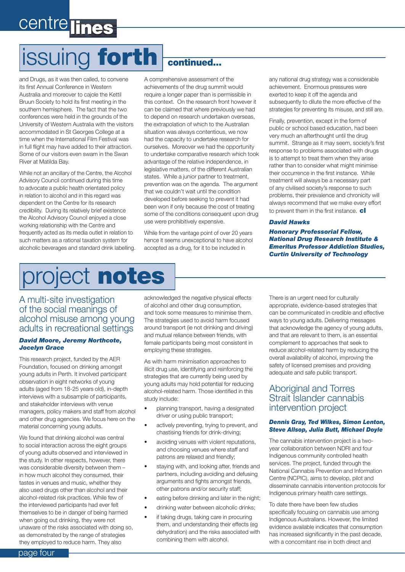# centre lines

# issuing forth continued...

and Drugs, as it was then called, to convene its first Annual Conference in Western Australia and moreover to cajole the Kettil Bruun Society to hold its first meeting in the southern hemisphere. The fact that the two conferences were held in the grounds of the University of Western Australia with the visitors accommodated in St Georges College at a time when the International Film Festival was in full flight may have added to their attraction. Some of our visitors even swam in the Swan River at Matilda Bay.

While not an ancillary of the Centre, the Alcohol Advisory Council continued during this time to advocate a public health orientated policy in relation to alcohol and in this regard was dependent on the Centre for its research credibility. During its relatively brief existence the Alcohol Advisory Council enjoyed a close working relationship with the Centre and frequently acted as its media outlet in relation to such matters as a rational taxation system for alcoholic beverages and standard drink labelling.

A comprehensive assessment of the achievements of the drug summit would require a longer paper than is permissible in this context. On the research front however it can be claimed that where previously we had to depend on research undertaken overseas, the extrapolation of which to the Australian situation was always contentious, we now had the capacity to undertake research for ourselves. Moreover we had the opportunity to undertake comparative research which took advantage of the relative independence, in legislative matters, of the different Australian states. While a junior partner to treatment, prevention was on the agenda. The argument that we couldn't wait until the condition developed before seeking to prevent it had been won if only because the cost of treating some of the conditions consequent upon drug use were prohibitively expensive.

While from the vantage point of over 20 years hence it seems unexceptional to have alcohol accepted as a drug, for it to be included in

any national drug strategy was a considerable achievement. Enormous pressures were exerted to keep it off the agenda and subsequently to dilute the more effective of the strategies for preventing its misuse, and still are.

Finally, prevention, except in the form of public or school based education, had been very much an afterthought until the drug summit. Strange as it may seem, society's first response to problems associated with drugs is to attempt to treat them when they arise rather than to consider what might minimise their occurrence in the first instance. While treatment will always be a necessary part of any civilised society's response to such problems, their prevalence and chronicity will always recommend that we make every effort to prevent them in the first instance.  $c$ 

#### *David Hawks*

*Honorary Professorial Fellow, National Drug Research Institute & Emeritus Professor Addiction Studies, Curtin University of Technology*

# project notes

#### A multi-site investigation of the social meanings of alcohol misuse among young adults in recreational settings

#### *David Moore, Jeremy Northcote, Jocelyn Grace*

This research project, funded by the AER Foundation, focused on drinking amongst young adults in Perth. It involved participant observation in eight networks of young adults (aged from 18-25 years old), in-depth interviews with a subsample of participants, and stakeholder interviews with venue managers, policy makers and staff from alcohol and other drug agencies. We focus here on the material concerning young adults.

We found that drinking alcohol was central to social interaction across the eight groups of young adults observed and interviewed in the study. In other respects, however, there was considerable diversity between them – in how much alcohol they consumed, their tastes in venues and music, whether they also used drugs other than alcohol and their alcohol-related risk practices. While few of the interviewed participants had ever felt themselves to be in danger of being harmed when going out drinking, they were not unaware of the risks associated with doing so, as demonstrated by the range of strategies they employed to reduce harm. They also

acknowledged the negative physical effects of alcohol and other drug consumption, and took some measures to minimise them. The strategies used to avoid harm focused around transport (ie not drinking and driving) and mutual reliance between friends, with female participants being most consistent in employing these strategies.

As with harm minimisation approaches to illicit drug use, identifying and reinforcing the strategies that are currently being used by young adults may hold potential for reducing alcohol-related harm. Those identified in this study include:

- planning transport, having a designated driver or using public transport;
- actively preventing, trying to prevent, and chastising friends for drink-driving;
- avoiding venues with violent reputations, and choosing venues where staff and patrons are relaxed and friendly;
- staying with, and looking after, friends and partners, including avoiding and defusing arguments and fights amongst friends, other patrons and/or security staff;
- eating before drinking and later in the night;
- drinking water between alcoholic drinks;
- if taking drugs, taking care in procuring them, and understanding their effects (eg dehydration) and the risks associated with combining them with alcohol.

There is an urgent need for culturally appropriate, evidence-based strategies that can be communicated in credible and effective ways to young adults. Delivering messages that acknowledge the agency of young adults, and that are relevant to them, is an essential complement to approaches that seek to reduce alcohol-related harm by reducing the overall availability of alcohol, improving the safety of licensed premises and providing adequate and safe public transport.

#### Aboriginal and Torres Strait Islander cannabis intervention project

#### *Dennis Gray, Ted Wilkes, Simon Lenton, Steve Allsop, Julia Butt, Michael Doyle*

The cannabis intervention project is a twoyear collaboration between NDRI and four Indigenous community controlled health services. The project, funded through the National Cannabis Prevention and Information Centre (NCPIC), aims to develop, pilot and disseminate cannabis intervention protocols for Indigenous primary health care settings.

To date there have been few studies specifically focusing on cannabis use among Indigenous Australians. However, the limited evidence available indicates that consumption has increased significantly in the past decade. with a concomitant rise in both direct and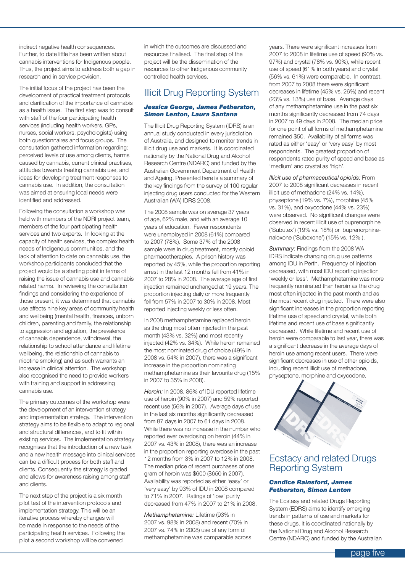indirect negative health consequences. Further, to date little has been written about cannabis interventions for Indigenous people. Thus, the project aims to address both a gap in research and in service provision.

The initial focus of the project has been the development of practical treatment protocols and clarification of the importance of cannabis as a health issue. The first step was to consult with staff of the four participating health services (including health workers, GPs, nurses, social workers, psychologists) using both questionnaires and focus groups. The consultation gathered information regarding: perceived levels of use among clients, harms caused by cannabis, current clinical practises, attitudes towards treating cannabis use, and ideas for developing treatment responses to cannabis use. In addition, the consultation was aimed at ensuring local needs were identified and addressed.

Following the consultation a workshop was held with members of the NDRI project team, members of the four participating health services and two experts. In looking at the capacity of health services, the complex health needs of Indigenous communities, and the lack of attention to date on cannabis use, the workshop participants concluded that the project would be a starting point in terms of raising the issue of cannabis use and cannabis related harms. In reviewing the consultation findings and considering the experience of those present, it was determined that cannabis use affects nine key areas of community health and wellbeing (mental health, finances, unborn children, parenting and family, the relationship to aggression and agitation, the prevalence of cannabis dependence, withdrawal, the relationship to school attendance and lifetime wellbeing, the relationship of cannabis to nicotine smoking) and as such warrants an increase in clinical attention. The workshop also recognised the need to provide workers with training and support in addressing cannabis use.

The primary outcomes of the workshop were the development of an intervention strategy and implementation strategy. The intervention strategy aims to be flexible to adapt to regional and structural differences, and to fit within existing services. The implementation strategy recognises that the introduction of a new task and a new health message into clinical services can be a difficult process for both staff and clients. Consequently the strategy is graded and allows for awareness raising among staff and clients.

The next step of the project is a six month pilot test of the intervention protocols and implementation strategy. This will be an iterative process whereby changes will be made in response to the needs of the participating health services. Following the pilot a second workshop will be convened

in which the outcomes are discussed and resources finalised. The final step of the project will be the dissemination of the resources to other Indigenous community controlled health services.

#### Illicit Drug Reporting System

#### *Jessica George, James Fetherston, Simon Lenton, Laura Santana*

The Illicit Drug Reporting System (IDRS) is an annual study conducted in every jurisdiction of Australia, and designed to monitor trends in illicit drug use and markets. It is coordinated nationally by the National Drug and Alcohol Research Centre (NDARC) and funded by the Australian Government Department of Health and Ageing. Presented here is a summary of the key findings from the survey of 100 regular injecting drug users conducted for the Western Australian (WA) IDRS 2008.

The 2008 sample was on average 37 years of age, 62% male, and with an average 10 years of education. Fewer respondents were unemployed in 2008 (61%) compared to 2007 (78%). Some 37% of the 2008 sample were in drug treatment, mostly opioid pharmacotherapies. A prison history was reported by 45%, while the proportion reporting arrest in the last 12 months fell from 41% in 2007 to 28% in 2008. The average age of first injection remained unchanged at 19 years. The proportion injecting daily or more frequently fell from 57% in 2007 to 30% in 2008. Most reported injecting weekly or less often.

In 2008 methamphetamine replaced heroin as the drug most often injected in the past month (43% vs. 32%) and most recently injected (42% vs. 34%). While heroin remained the most nominated drug of choice (49% in 2008 vs. 54% in 2007), there was a significant increase in the proportion nominating methamphetamine as their favourite drug (15% in 2007 to 35% in 2008).

*Heroin:* In 2008, 86% of IDU reported lifetime use of heroin (90% in 2007) and 59% reported recent use (56% in 2007). Average days of use in the last six months significantly decreased from 87 days in 2007 to 61 days in 2008. While there was no increase in the number who reported ever overdosing on heroin (44% in 2007 vs. 43% in 2008), there was an increase in the proportion reporting overdose in the past 12 months from 3% in 2007 to 12% in 2008. The median price of recent purchases of one gram of heroin was \$600 (\$650 in 2007). Availability was reported as either 'easy' or 'very easy' by 93% of IDU in 2008 compared to 71% in 2007. Ratings of 'low' purity decreased from 47% in 2007 to 21% in 2008.

*Methamphetamine:* Lifetime (93% in 2007 vs. 98% in 2008) and recent (70% in 2007 vs. 74% in 2008) use of any form of methamphetamine was comparable across years. There were significant increases from 2007 to 2008 in lifetime use of speed (90% vs. 97%) and crystal (78% vs. 90%), while recent use of speed (61% in both years) and crystal (56% vs. 61%) were comparable. In contrast, from 2007 to 2008 there were significant decreases in lifetime (45% vs. 26%) and recent (23% vs. 13%) use of base. Average days of any methamphetamine use in the past six months significantly decreased from 74 days in 2007 to 49 days in 2008. The median price for one point of all forms of methamphetamine remained \$50. Availability of all forms was rated as either 'easy' or 'very easy' by most respondents. The greatest proportion of respondents rated purity of speed and base as 'medium' and crystal as 'high'.

*Illicit use of pharmaceutical opioids:* From 2007 to 2008 significant decreases in recent illicit use of methadone (24% vs. 14%), physeptone (19% vs. 7%), morphine (45% vs. 31%), and oxycodone (44% vs. 23%) were observed. No significant changes were observed in recent illicit use of buprenorphine ('Subutex') (19% vs. 18%) or buprenorphinenaloxone ('Suboxone') (15% vs. 12% ).

*Summary:* Findings from the 2008 WA IDRS indicate changing drug use patterns among IDU in Perth. Frequency of injection decreased, with most IDU reporting injection 'weekly or less'. Methamphetamine was more frequently nominated than heroin as the drug most often injected in the past month and as the most recent drug injected. There were also significant increases in the proportion reporting lifetime use of speed and crystal, while both lifetime and recent use of base significantly decreased. While lifetime and recent use of heroin were comparable to last year, there was a significant decrease in the average days of heroin use among recent users. There were significant decreases in use of other opioids, including recent illicit use of methadone, physeptone, morphine and oxycodone.



#### Ecstacy and related Drugs Reporting System

#### *Candice Rainsford, James Fetherston, Simon Lenton*

The Ecstasy and related Drugs Reporting System (EDRS) aims to identify emerging trends in patterns of use and markets for these drugs. It is coordinated nationally by the National Drug and Alcohol Research Centre (NDARC) and funded by the Australian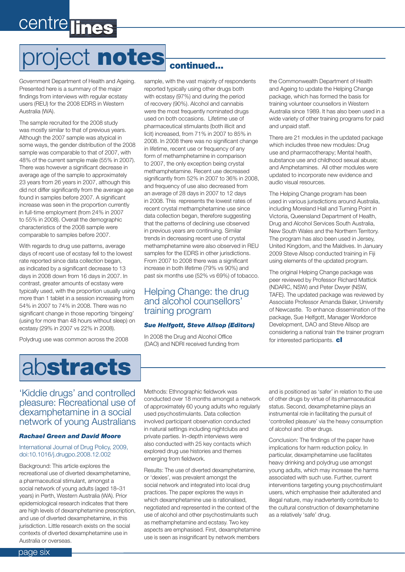# project notes

Government Department of Health and Ageing. Presented here is a summary of the major findings from interviews with regular ecstasy users (REU) for the 2008 EDRS in Western Australia (WA).

The sample recruited for the 2008 study was mostly similar to that of previous years. Although the 2007 sample was atypical in some ways, the gender distribution of the 2008 sample was comparable to that of 2007, with 48% of the current sample male (55% in 2007). There was however a significant decrease in average age of the sample to approximately 23 years from 26 years in 2007, although this did not differ significantly from the average age found in samples before 2007. A significant increase was seen in the proportion currently in full-time employment (from 24% in 2007 to 55% in 2008). Overall the demographic characteristics of the 2008 sample were comparable to samples before 2007.

With regards to drug use patterns, average days of recent use of ecstasy fell to the lowest rate reported since data collection began, as indicated by a significant decrease to 13 days in 2008 down from 16 days in 2007. In contrast, greater amounts of ecstasy were typically used, with the proportion usually using more than 1 tablet in a session increasing from 54% in 2007 to 74% in 2008. There was no significant change in those reporting 'bingeing' (using for more than 48 hours without sleep) on ecstasy (29% in 2007 vs 22% in 2008).

Polydrug use was common across the 2008



#### sample, with the vast majority of respondents reported typically using other drugs both with ecstasy (97%) and during the period of recovery (90%). Alcohol and cannabis were the most frequently nominated drugs used on both occasions. Lifetime use of pharmaceutical stimulants (both illicit and licit) increased, from 71% in 2007 to 85% in 2008. In 2008 there was no significant change in lifetime, recent use or frequency of any form of methamphetamine in comparison to 2007, the only exception being crystal methamphetamine. Recent use decreased significantly from 52% in 2007 to 36% in 2008, and frequency of use also decreased from an average of 28 days in 2007 to 12 days in 2008. This represents the lowest rates of recent crystal methamphetamine use since data collection began, therefore suggesting that the patterns of declining use observed in previous years are continuing. Similar trends in decreasing recent use of crystal methamphetamine were also observed in REU

samples for the EDRS in other jurisdictions. From 2007 to 2008 there was a significant increase in both lifetime (79% vs 90%) and past six months use (52% vs 69%) of tobacco.

#### Helping Change: the drug and alcohol counsellors' training program

#### *Sue Helfgott, Steve Allsop (Editors)*

In 2008 the Drug and Alcohol Office (DAO) and NDRI received funding from the Commonwealth Department of Health and Ageing to update the Helping Change package, which has formed the basis for training volunteer counsellors in Western Australia since 1989. It has also been used in a wide variety of other training programs for paid and unpaid staff.

There are 21 modules in the updated package which includes three new modules: Drug use and pharmacotherapy; Mental health, substance use and childhood sexual abuse; and Amphetamines. All other modules were updated to incorporate new evidence and audio visual resources.

The Helping Change program has been used in various jurisdictions around Australia, including Moreland Hall and Turning Point in Victoria, Queensland Department of Health, Drug and Alcohol Services South Australia, New South Wales and the Northern Territory. The program has also been used in Jersey, United Kingdom, and the Maldives. In January 2009 Steve Allsop conducted training in Fiji using elements of the updated program.

The original Helping Change package was peer reviewed by Professor Richard Mattick (NDARC, NSW) and Peter Dwyer (NSW, TAFE). The updated package was reviewed by Associate Professor Amanda Baker, University of Newcastle. To enhance dissemination of the package, Sue Helfgott, Manager Workforce Development, DAO and Steve Allsop are considering a national train the trainer program for interested participants.  $c$ 

#### 'Kiddie drugs' and controlled pleasure: Recreational use of dexamphetamine in a social network of young Australians

#### *Rachael Green and David Moore*

#### International Journal of Drug Policy, 2009, doi:10.1016/j.drugpo.2008.12.002

Background: This article explores the recreational use of diverted dexamphetamine, a pharmaceutical stimulant, amongst a social network of young adults (aged 18–31 years) in Perth, Western Australia (WA). Prior epidemiological research indicates that there are high levels of dexamphetamine prescription, and use of diverted dexamphetamine, in this jurisdiction. Little research exists on the social contexts of diverted dexamphetamine use in Australia or overseas.

Methods: Ethnographic fieldwork was conducted over 18 months amongst a network of approximately 60 young adults who regularly used psychostimulants. Data collection involved participant observation conducted in natural settings including nightclubs and private parties. In-depth interviews were also conducted with 25 key contacts which explored drug use histories and themes emerging from fieldwork.

Results: The use of diverted dexamphetamine, or 'dexies', was prevalent amongst the social network and integrated into local drug practices. The paper explores the ways in which dexamphetamine use is rationalised, negotiated and represented in the context of the use of alcohol and other psychostimulants such as methamphetamine and ecstasy. Two key aspects are emphasised. First, dexamphetamine use is seen as insignificant by network members

and is positioned as 'safer' in relation to the use of other drugs by virtue of its pharmaceutical status. Second, dexamphetamine plays an instrumental role in facilitating the pursuit of 'controlled pleasure' via the heavy consumption of alcohol and other drugs.

Conclusion: The findings of the paper have implications for harm reduction policy. In particular, dexamphetamine use facilitates heavy drinking and polydrug use amongst young adults, which may increase the harms associated with such use. Further, current interventions targeting young psychostimulant users, which emphasise their adulterated and illegal nature, may inadvertently contribute to the cultural construction of dexamphetamine as a relatively 'safe' drug.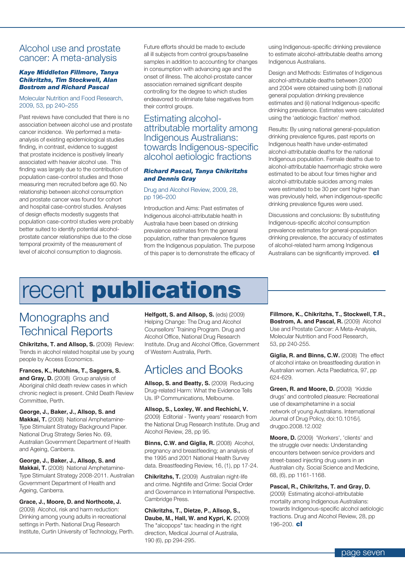#### Alcohol use and prostate cancer: A meta-analysis

#### *Kaye Middleton Fillmore, Tanya Chikritzhs, Tim Stockwell, Alan Bostrom and Richard Pascal*

#### Molecular Nutrition and Food Research, 2009, 53, pp 240–255

Past reviews have concluded that there is no association between alcohol use and prostate cancer incidence. We performed a metaanalysis of existing epidemiological studies finding, in contrast, evidence to suggest that prostate incidence is positively linearly associated with heavier alcohol use. This finding was largely due to the contribution of population case-control studies and those measuring men recruited before age 60. No relationship between alcohol consumption and prostate cancer was found for cohort and hospital case-control studies. Analyses of design effects modestly suggests that population case-control studies were probably better suited to identify potential alcoholprostate cancer relationships due to the close temporal proximity of the measurement of level of alcohol consumption to diagnosis.

Future efforts should be made to exclude all ill subjects from control groups/baseline samples in addition to accounting for changes in consumption with advancing age and the onset of illness. The alcohol-prostate cancer association remained significant despite controlling for the degree to which studies endeavored to eliminate false negatives from their control groups.

#### Estimating alcoholattributable mortality among Indigenous Australians: towards Indigenous-specific alcohol aetiologic fractions

#### *Richard Pascal, Tanya Chikritzhs and Dennis Gray*

#### Drug and Alcohol Review, 2009, 28, pp 196–200

Introduction and Aims: Past estimates of Indigenous alcohol-attributable health in Australia have been based on drinking prevalence estimates from the general population, rather than prevalence figures from the Indigenous population. The purpose of this paper is to demonstrate the efficacy of using Indigenous-specific drinking prevalence to estimate alcohol-attributable deaths among Indigenous Australians.

Design and Methods: Estimates of Indigenous alcohol-attributable deaths between 2000 and 2004 were obtained using both (i) national general population drinking prevalence estimates and (ii) national Indigenous-specific drinking prevalence. Estimates were calculated using the 'aetiologic fraction' method.

Results: By using national general-population drinking prevalence figures, past reports on Indigenous health have under-estimated alcohol-attributable deaths for the national Indigenous population. Female deaths due to alcohol-attributable haemorrhagic stroke were estimated to be about four times higher and alcohol-attributable suicides among males were estimated to be 30 per cent higher than was previously held, when indigenous-specific drinking prevalence figures were used.

Discussions and conclusions: By substituting Indigenous-specific alcohol consumption prevalence estimates for general-population drinking prevalence, the accuracy of estimates of alcohol-related harm among Indigenous Australians can be significantly improved.  $\mathbf{cl}$ 

### recent **publications**

### Monographs and Technical Reports

**Chikritzhs, T. and Allsop, S.** (2009) Review: Trends in alcohol related hospital use by young people by Access Economics.

**Frances, K., Hutchins, T., Saggers, S. and Gray, D.** (2008) Group analysis of Aboriginal child death review cases in which chronic neglect is present. Child Death Review Committee, Perth.

**George, J., Baker, J., Allsop, S. and Makkai, T.** (2008) National Amphetamine-Type Stimulant Strategy Background Paper. National Drug Strategy Series No. 69, Australian Government Department of Health and Ageing, Canberra.

**George, J., Baker, J., Allsop, S. and Makkai, T.** (2008) National Amphetamine-Type Stimulant Strategy 2008-2011. Australian Government Department of Health and Ageing, Canberra.

**Grace, J., Moore, D. and Northcote, J.**  (2009) Alcohol, risk and harm reduction: Drinking among young adults in recreational settings in Perth. National Drug Research Institute, Curtin University of Technology, Perth. **Helfgott, S. and Allsop, S.** (eds) (2009) Helping Change: The Drug and Alcohol Counsellors' Training Program. Drug and Alcohol Office, National Drug Research Institute. Drug and Alcohol Office, Government of Western Australia, Perth.

### Articles and Books

**Allsop, S. and Beatty, S.** (2009) Reducing Drug-related Harm: What the Evidence Tells Us. IP Communications, Melbourne.

**Allsop, S., Loxley, W. and Rechichi, V.** (2009) Editorial - Twenty years' research from the National Drug Research Institute. Drug and Alcohol Review, 28, pp 95.

**Binns, C.W. and Giglia, R.** (2008) Alcohol, pregnancy and breastfeeding; an analysis of the 1995 and 2001 National Health Survey data. Breastfeeding Review, 16, (1), pp 17-24.

**Chikritzhs, T.** (2009) Australian night-life and crime. Nightlife and Crime: Social Order and Governance in International Perspective. Cambridge Press.

**Chikritzhs, T., Dietze, P., Allsop, S., Daube, M., Hall, W. and Kypri, K.** (2009) The "alcopops" tax: heading in the right direction, Medical Journal of Australia, 190 (6), pp 294-295.

**Fillmore, K., Chikritzhs, T., Stockwell, T.R., Bostrom, A. and Pascal, R. (2009) Alcohol** Use and Prostate Cancer: A Meta-Analysis, Molecular Nutrition and Food Research, 53, pp 240-255.

**Giglia, R. and Binns, C.W.** (2008) The effect of alcohol intake on breastfeeding duration in Australian women. Acta Paediatrica, 97, pp 624-629.

**Green, R. and Moore, D.** (2009) 'Kiddie drugs' and controlled pleasure: Recreational use of dexamphetamine in a social network of young Australians. International Journal of Drug Policy, doi:10.1016/j. drugpo.2008.12.002

**Moore, D.** (2009) 'Workers', 'clients' and the struggle over needs: Understanding encounters between service providers and street-based injecting drug users in an Australian city. Social Science and Medicine, 68, (6), pp 1161-1168.

**Pascal, R., Chikritzhs, T. and Gray, D.** (2009) Estimating alcohol-attributable mortality among Indigenous Australians: towards Indigenous-specific alcohol aetiologic fractions. Drug and Alcohol Review, 28, pp 196–200. cl